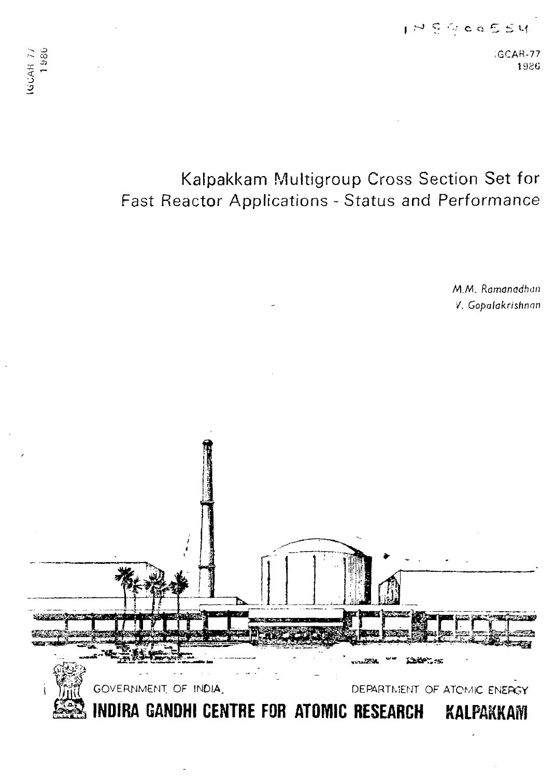;GCAR-77 198G

# Kalpakkam Multigroup Cross Section Set for Fast Reactor Applications - Status and Performance

MM. Ramanadhun V. Gopalakrishnan

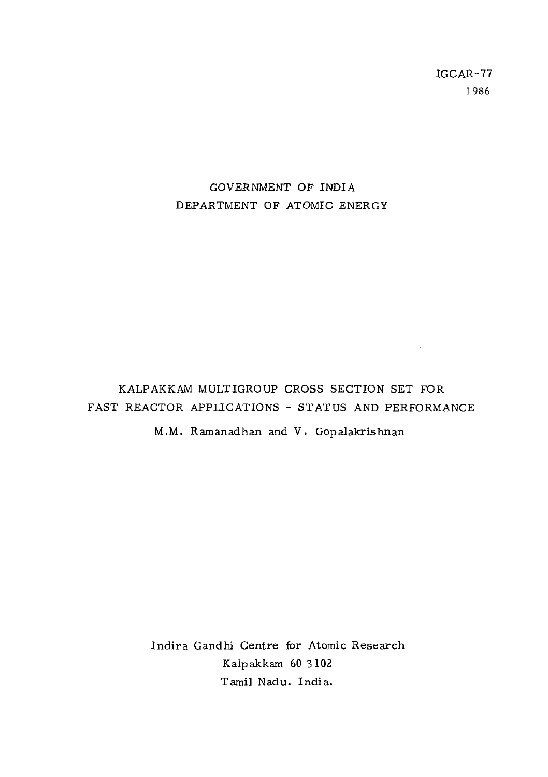IGCAR-77 1986

**Contract** 

# GOVERNMENT OF INDIA DEPARTMENT OF ATOMIC ENERGY

KALPAKKAM MULTIGROUP CROSS SECTION SET FOR FAST REACTOR APPLICATIONS - STATUS AND PERFORMANCE

M.M. Ramanadhan and V. Gop alakrishnan

Indira Gandhi Centre for Atomic Research Kalpakkam 60 3102 Tamil Nadu. India.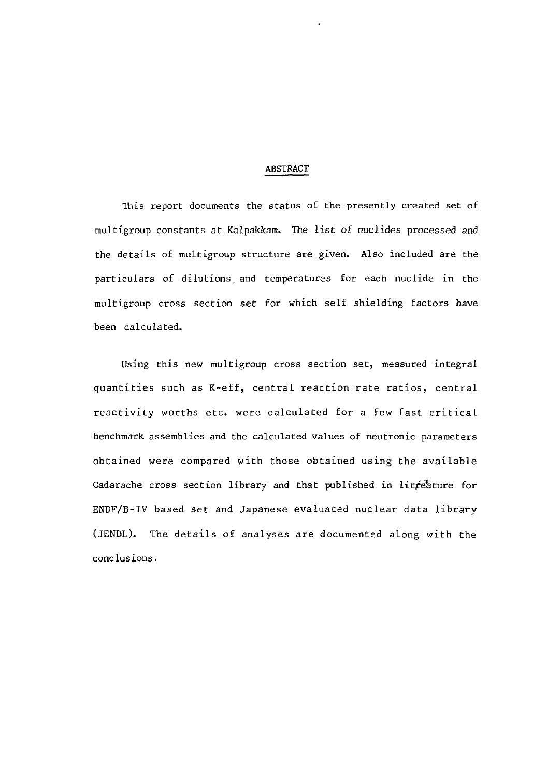#### ABSTRACT

This report documents the status of the presently created set of multigroup constants at Kalpakkam. The list of nuclides processed and the details of multigroup structure are given. Also included are the particulars of dilutions and temperatures for each nuclide in the multigroup cross section set for which self shielding factors have been calculated.

Using this new multigroup cross section set, measured integral quantities such as K-eff, central reaction rate ratios, central reactivity worths etc. were calculated for a few fast critical benchmark assemblies and the calculated values of neutronic parameters obtained were compared with those obtained using the available Cadarache cross section library and that published in litteature for ENDF/B-IV based set and Japanese evaluated nuclear data library (JENDL). The details of analyses are documented along with the conclusions.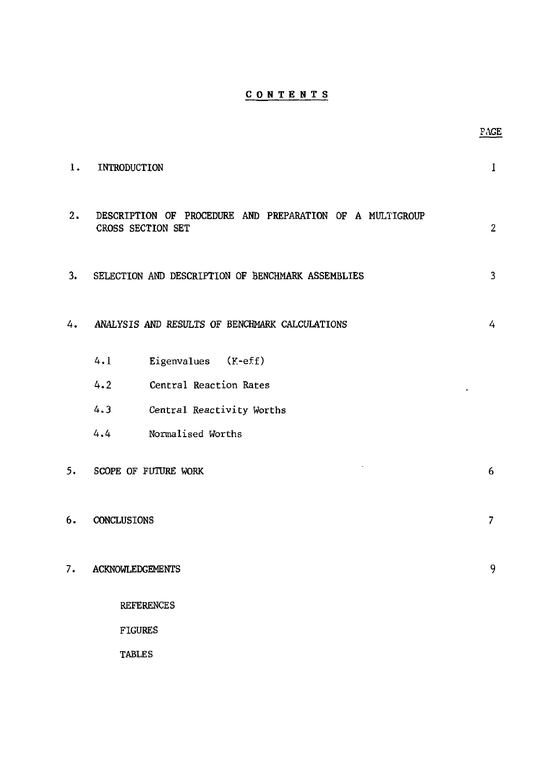### **CONTENT S**

PAGE

| 1. | INTRODUCTION                                                                  | I              |
|----|-------------------------------------------------------------------------------|----------------|
| 2. | DESCRIPTION OF PROCEDURE AND PREPARATION OF A MULTIGROUP<br>CROSS SECTION SET | $\overline{2}$ |
| 3. | SELECTION AND DESCRIPTION OF BENCHMARK ASSEMBLIES                             | 3              |
| 4. | ANALYSIS AND RESULTS OF BENCHMARK CALCULATIONS                                | 4              |
|    | 4.1<br>Eigenvalues (K-eff)                                                    |                |
|    | 4.2<br>Central Reaction Rates                                                 |                |
|    | 4.3<br>Central Reactivity Worths                                              |                |
|    | 4.4<br>Normalised Worths                                                      |                |
| 5. | SCOPE OF FUTURE WORK                                                          | 6              |
| 6. | CONCLUSIONS                                                                   | 7              |
| 7. | <b>ACKNOWLEDGEMENTS</b>                                                       | 9              |
|    | <b>REFERENCES</b>                                                             |                |
|    | <b>FIGURES</b>                                                                |                |
|    | <b>TABLES</b>                                                                 |                |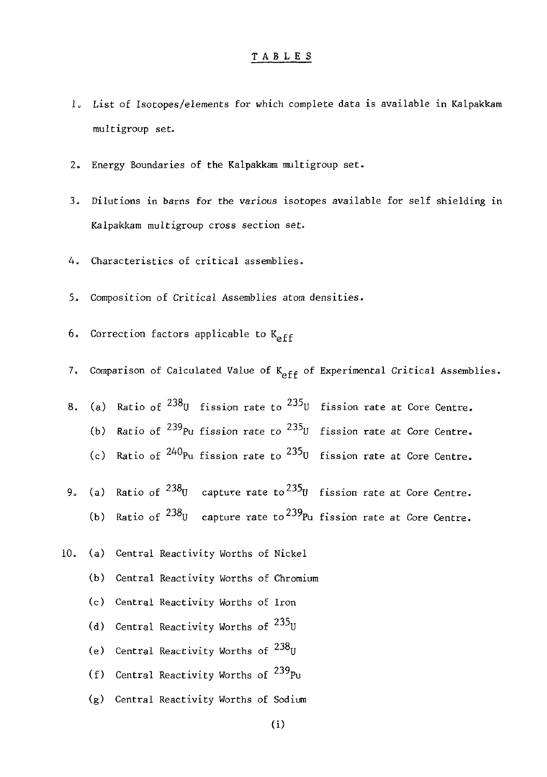#### TABLE S

- 1. List of Isotopes/elements for which complete data is available in Kalpakkam multigroup set-
- 2. Energy Boundaries of the Kalpakkam multigroup set.
- 3. Dilutions in barns for the various isotopes available for self shielding in Kalpakkam multigroup cross section set.
- 4. Characteristics of critical assemblies.
- 5. Composition of Critical Assemblies atom densities.
- 6. Correction factors applicable to  $K_{eff}$
- 7. Comparison of Calculated Value of  $K_{\text{eff}}$  of Experimental Critical Assemblies.
- 8. (a) Ratio of  $^{238}$ U fission rate to  $^{235}$ U fission rate at Core Centre. (b) Ratio of  $^{239}$ Pu fission rate to  $^{235}$ U fission rate at Core Centre. (c) Ratio of  $^{240}$ Pu fission rate to  $^{235}$ U fission rate at Core Centre.
- 9. (a) Ratio of  $^{238}$ U capture rate to  $^{235}$ U fission rate at Core Centre. (b) Ratio of  $^{238}$ U capture rate to  $^{239}$ Pu fission rate at Core Centre.
- 10. (a) Central Reactivity Worths of Nickel
	- (b) Central Reactivity Worths of Chromium
	- (c) Central Reactivity Worths of Iron
	- (d) Central Reactivity Worths of <sup>233</sup>U
	- (e) Central Reactivity Worths of <sup>238</sup>U
	- (f) Central Reactivity Worths of <sup>239</sup>Pu
	- (g) Central Reactivity Worths of Sodium

(i)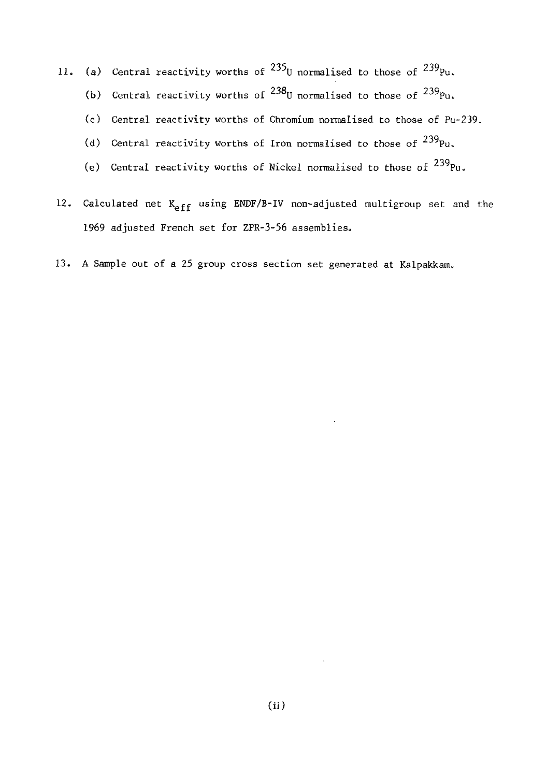- 11. (a) Central reactivity worths of  $^{235}$ U normalised to those of  $^{239}$ Pu.
	- (b) Central reactivity worths of  $^{238}$ U normalised to those of  $^{239}$ Pu.
	- (c) Central reactivity worths of Chromium normalised to those of Pu-239.
	- (d) Central reactivity worths of Iron normalised to those of  $^{239}$ Pu,
	- (e) Central reactivity worths of Nickel normalised to those of  $^{239}$ Pu.
- 12. Calculated net K<sub>eff</sub> using ENDF/B-IV non-adjusted multigroup set and the 1969 adjusted French set for ZPR-3-56 assemblies.
- 13. A Sample out of a 25 group cross section set generated at Kalpakkam.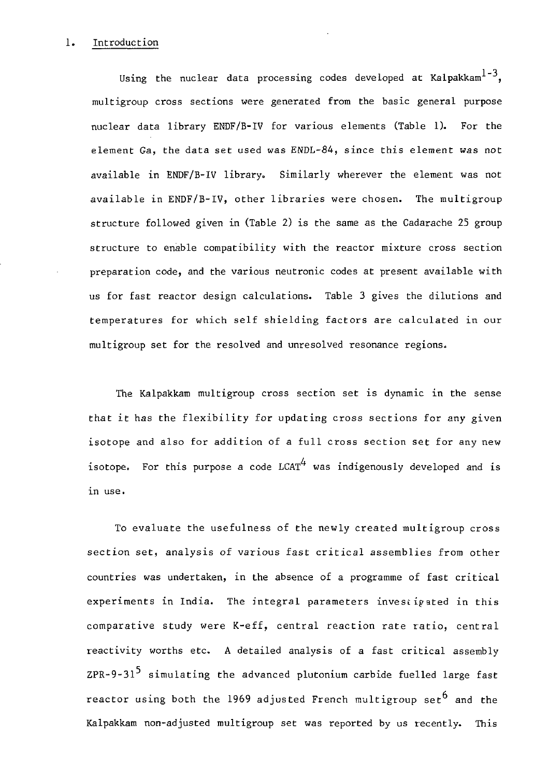#### 1. Introduction

Using the nuclear data processing codes developed at Kalpakkam<sup>1-3</sup>. multigroup cross sections were generated from the basic general purpose nuclear data library ENDF/B-IV for various elements (Table 1). For the element Ga, the data set used was ENDL-84, since this element was not available in ENDF/B-IV library. Similarly wherever the element was not available in ENDF/B-IV, other libraries were chosen. The multigroup structure followed given in (Table 2) is the same as the Cadarache 25 group structure to enable compatibility with the reactor mixture cross section preparation code, and the various neutronic codes at present available with us for fast reactor design calculations. Table 3 gives the dilutions and temperatures for which self shielding factors are calculated in our multigroup set for the resolved and unresolved resonance regions.

The Kalpakkam multigroup cross section set is dynamic in the sense that it has the flexibility for updating cross sections for any given isotope and also for addition of a full cross section set for any new isotope. For this purpose a code LCAT<sup>4</sup> was indigenously developed and is in use.

To evaluate the usefulness of the newly created multigroup cross section set, analysis of various fast critical assemblies from other countries was undertaken, in the absence of a programme of fast critical experiments in India. The integral parameters investigated in this comparative study were K-eff, central reaction rate ratio, central reactivity worths etc. A detailed analysis of a fast critical assembly ZPR-9-31<sup>5</sup> simulating the advanced plutonium carbide fuelled large fast reactor using both the 1969 adjusted French multigroup set and the Kalpakkam non-adjusted multigroup set was reported by us recently. This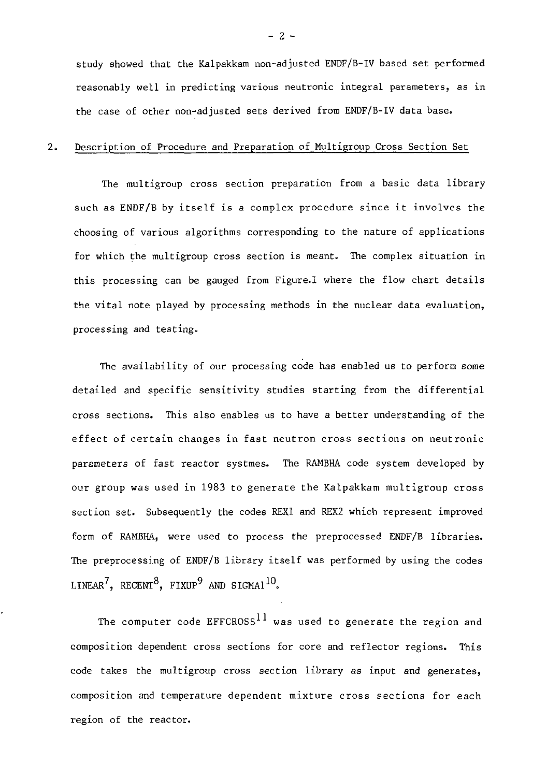study showed that the Kalpakkam non-adjusted ENDF/B-IV based set performed reasonably well in predicting various neutronic integral parameters, as in the case of other non-adjusted sets derived from ENDF/B-IV data base.

#### 2. Description of Procedure and Preparation of Multigroup Cross Section Set

The multigroup cross section preparation from a basic data library such as ENDF/B by itself is a complex procedure since it involves the choosing of various algorithms corresponding to the nature of applications for which the multigroup cross section is meant. The complex situation in this processing can be gauged from Figure.I where the flow chart details the vital note played by processing methods in the nuclear data evaluation, processing and testing.

The availability of our processing code has enabled us to perform some detailed and specific sensitivity studies starting from the differential cross sections. This also enables us to have a better understanding of the effect of certain changes in fast neutron cross sections on neutronic parameters of fast reactor systmes. The RAMBHA code system developed by our group was used in 1983 to generate the Kalpakkam multigroup cross section set. Subsequently the codes REX1 and REX2 which represent improved form of RAMBHA, were used to process the preprocessed ENDF/B libraries. The preprocessing of ENDF/B library itself was performed by using the codes LINEAR<sup>7</sup>, RECENT<sup>8</sup>, FIXUP<sup>9</sup> AND SIGMA1<sup>10</sup>.

The computer code EFFCROSS<sup>11</sup> was used to generate the region and composition dependent cross sections for core and reflector regions. This code takes the multigroup cross section library as input and generates, composition and temperature dependent mixture cross sections for each region of the reactor.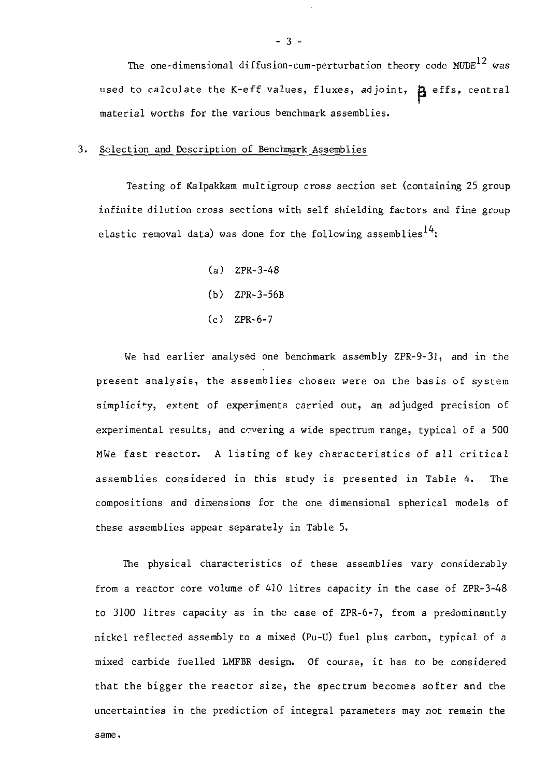The one-dimensional diffusion-cum-perturbation theory code  $MUDE$ <sup>12</sup> was used to calculate the K-eff values, fluxes, adjoint,  $\beta$  effs, central material worths for the various benchmark assemblies.

#### 3. Selection and Description of Benchmark Assemblies

Testing of Kalpakkam multigroup cross section set (containing 25 group infinite dilution cross sections with self shielding factors and fine group elastic removal data) was done for the following assemblies<sup>14</sup>:

> (a) ZPR-3-48 (b) ZPR-3-56B

(c) ZPR-6-7

We had earlier analysed one benchmark assembly ZPR-9-31, and in the present analysis, the assemblies chosen were on the basis of system simplicity, extent of experiments carried out, an adjudged precision of experimental results, and covering a wide spectrum range, typical of a 500 MWe fast reactor. A listing of key characteristics of all critical assemblies considered in this study is presented in Table 4. The compositions and dimensions for the one dimensional spherical models of these assemblies appear separately in Table 5.

The physical characteristics of these assemblies vary considerably from a reactor core volume of 410 litres capacity in the case of ZPR-3-48 to 3100 litres capacity as in the case of ZPR-6-7, from a predominantly nickel reflected assembly to a mixed (Pu-U) fuel plus carbon, typical of a mixed carbide fuelled LMFBR design. Of course, it has to be considered that the bigger the reactor size, the spectrum becomes softer and the uncertainties in the prediction of integral parameters may not remain thesame.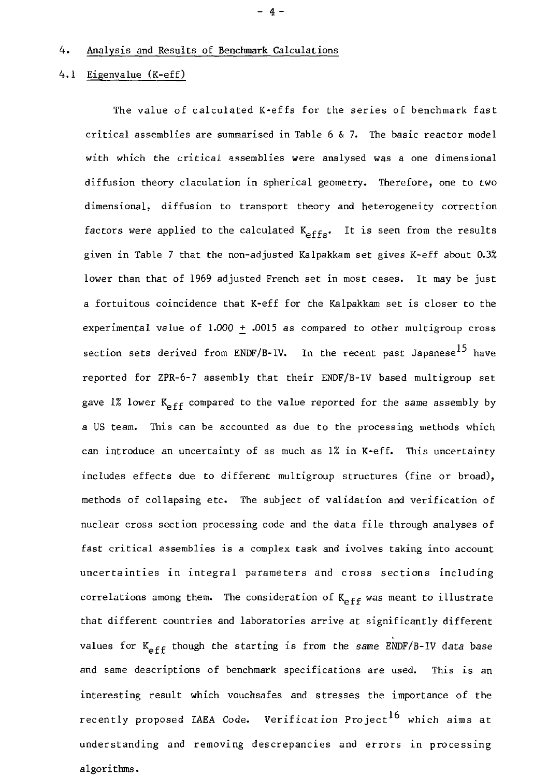#### 4. Analysis and Results of Benchmark Calculations

#### 4.1 Eigenvalue (K-eff)

The value of calculated K-effs for the series of benchmark fast critical assemblies are summarised in Table  $6\,$  & 7. The basic reactor model with which the critical assemblies were analysed was a one dimensional diffusion theory claculation in spherical geometry. Therefore, one to two dimensional, diffusion to transport theory and heterogeneity correction factors were applied to the calculated  $K_{effs}$ . It is seen from the results given in Table 7 that the non-adjusted Kalpakkam set gives K-eff about 0.3% lower than that of 1969 adjusted French set in most cases. It may be just a fortuitous coincidence that K-eff for the Kalpakkam set is closer to the experimental value of 1.000 + .0015 as compared to other multigroup cross section sets derived from ENDF/B-IV. In the recent past Japanese<sup>15</sup> have reported for ZPR-6-7 assembly that their ENDF/B-IV based multigroup set gave 1% lower  $K_{eff}$  compared to the value reported for the same assembly by a US team. This can be accounted as due to the processing methods which can introduce an uncertainty of as much as 1% in K-eff. This uncertainty includes effects due to different multigroup structures (fine or broad), methods of collapsing etc. The subject of validation and verification of nuclear cross section processing code and the data file through analyses of fast critical assemblies is a complex task and ivolves taking into account uncertainties in integral parameters and cross sections including correlations among them. The consideration of  $K_{eff}$  was meant to illustrate that different countries and laboratories arrive at significantly different values for  $K_{aff}$  though the starting is from the same ENDF/B-IV data base and same descriptions of benchmark specifications are used. This is an interesting result which vouchsafes and stresses the importance of the recently proposed IAEA Code. Verification Project<sup>16</sup> which aims at understanding and removing descrepancies and errors in processing algorithms.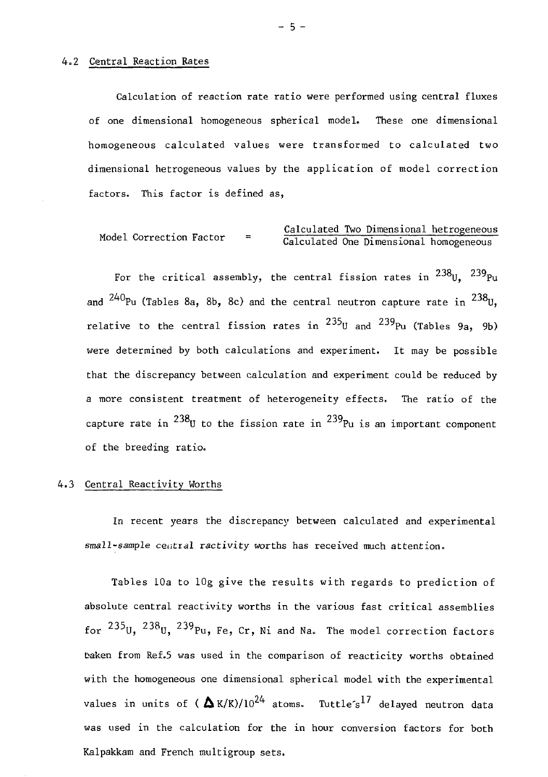#### 4.2 Central Reaction Rates

Calculation of reaction rate ratio were performed using central fluxes of one dimensional homogeneous spherical model. These one dimensional homogeneous calculated values were transformed to calculated two dimensional hetrogeneous values by the application of model correction factors. This factor is defined as,

$$
\begin{array}{rcl}\n\text{Model Correction Factor} & = & \text{Calculated Two Dimensional heterogeneous} \\
\hline\n\text{Calculated One Dimensional homogeneous}\n\end{array}
$$

For the critical assembly, the central fission rates in  $^{238}$ U,  $^{239}$ Pu and <sup>240</sup>Pu (Tables 8a, 8b, 8c) and the central neutron capture rate in <sup>238</sup>U relative to the central fission rates in <sup>235</sup>U and <sup>239</sup>Pu (Tables 9a, 9b) were determined by both calculations and experiment. It may be possible that the discrepancy between calculation and experiment could be reduced by a more consistent treatment of heterogeneity effects. The ratio of the capture rate in  $^{238}$ U to the fission rate in  $^{239}$ Pu is an important component of the breeding ratio.

#### 4.3 Central Reactivity Worths

In recent years the discrepancy between calculated and experimental small-sample central ractivity worths has received much attention.

Tables 10a to lOg give the results with regards to prediction of absolute central reactivity worths in the various fast critical assemblies for  $235$ U,  $238$ U,  $239$ Pu, Fe, Cr, Ni and Na. The model correction factors taken from Ref.5 was used in the comparison of reacticity worths obtained with the homogeneous one dimensional spherical model with the experimental values in units of ( $\Delta K/K$ )/10<sup>24</sup> atoms. Tuttle<sup>s17</sup> delayed neutron data was used in the calculation for the in hour conversion factors for both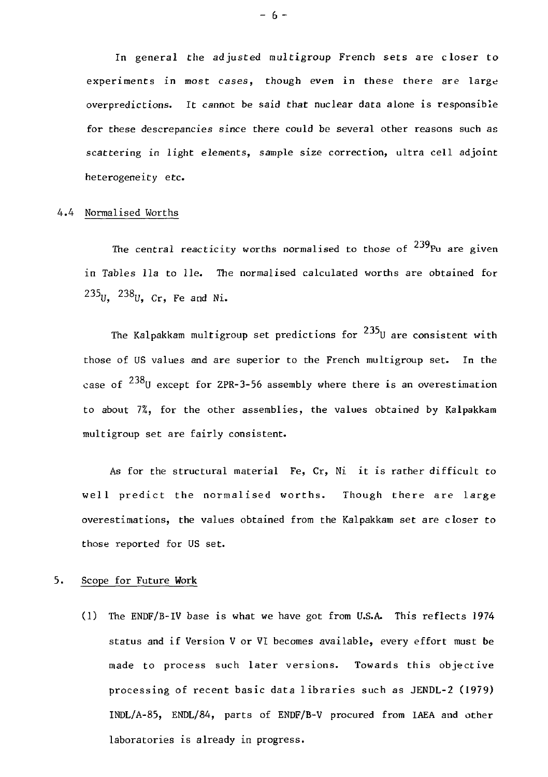In general the adjusted multigroup French sets are closer to experiments in most cases, though even in these there are large overpredictions. It cannot be said that nuclear data alone is responsible for these descrepancies since there could be several other reasons such as scattering in light elements, sample size correction, ultra cell adjoint heterogeneity etc.

#### 4.4 Normalised Worths

The central reacticity worths normalised to those of  $^{239}$ Pu are given in Tables lla to lie. The normalised calculated worths are obtained for  $^{235}$ U,  $^{238}$ U, Cr, Fe and Ni.

The Kalpakkam multigroup set predictions for  $235$ U are consistent with those of US values and are superior to the French multigroup set. In the case of  $^{238}$ U except for ZPR-3-56 assembly where there is an overestimation to about 7%, for the other assemblies, the values obtained by Kalpakkam multigroup set are fairly consistent.

As for the structural material Fe, Cr, Ni it is rather difficult to well predict the normalised worths. Though there are large overestimations, the values obtained from the Kalpakkam set are closer to those reported for US set.

#### 5. Scope for Future Work

(1) The ENDF/B-IV base is what we have got from U.S.A. This reflects 1974 status and if Version V or VI becomes available, every effort must be made to process such later versions. Towards this objective processing of recent basic data libraries such as JENDL-2 (1979) INDL/A-85, ENDL/84, parts of ENDF/B-V procured from IAEA and other laboratories is already in progress.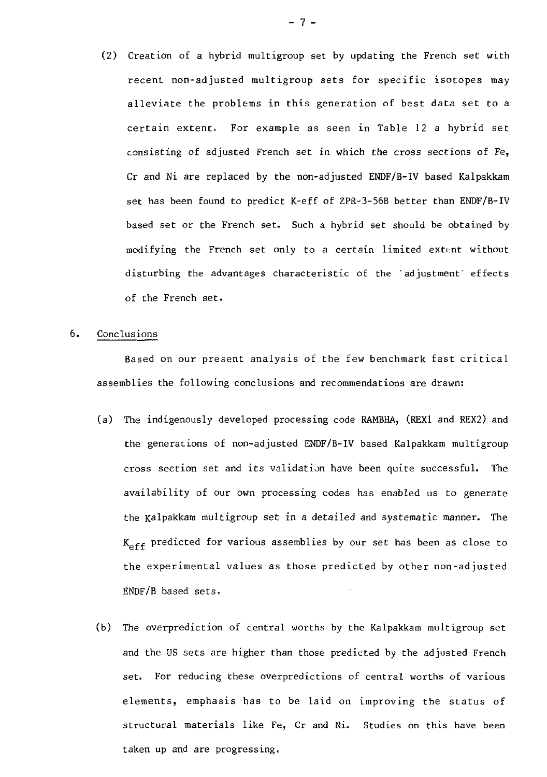(2) Creation of a hybrid multigroup set by updating the French set with recent non-adjusted multigroup sets for specific isotopes may alleviate the problems in this generation of best data set to a certain extent. For example as seen in Table 12 a hybrid set consisting of adjusted French set in which the cross sections of Fe, Cr and Ni are replaced by the non-adjusted ENDF/B-IV based Kalpakkam set has been found to predict K-eff of ZPR-3-56B better than ENDF/B-IV based set or the French set. Such a hybrid set should be obtained by modifying the French set only to a certain limited extent without disturbing the advantages characteristic of the 'adjustment' effects of the French set.

#### 6. Conclusions

Based on our present analysis of the few benchmark fast critical assemblies the following conclusions and recommendations are drawn:

- (a) The indigenously developed processing code RAMBHA, (REX1 and REX2) and the generations of non-adjusted ENDF/B-IV based Kalpakkam multigroup cross section set and its validation have been quite successful. The availability of our own processing codes has enabled us to generate the Kalpakkam multigroup set in a detailed and systematic manner. The  $K_{eff}$  predicted for various assemblies by our set has been as close to the experimental values as those predicted by other non-adjusted ENDF/B based sets.
- (b) The overprediction of central worths by the Kalpakkam multigroup set and the OS sets are higher than those predicted by the adjusted French set. For reducing these overpredictions of central worths of various elements, emphasis has to be laid on improving the status of structural materials like Fe, Cr and Ni. Studies on this have been taken up and are progressing.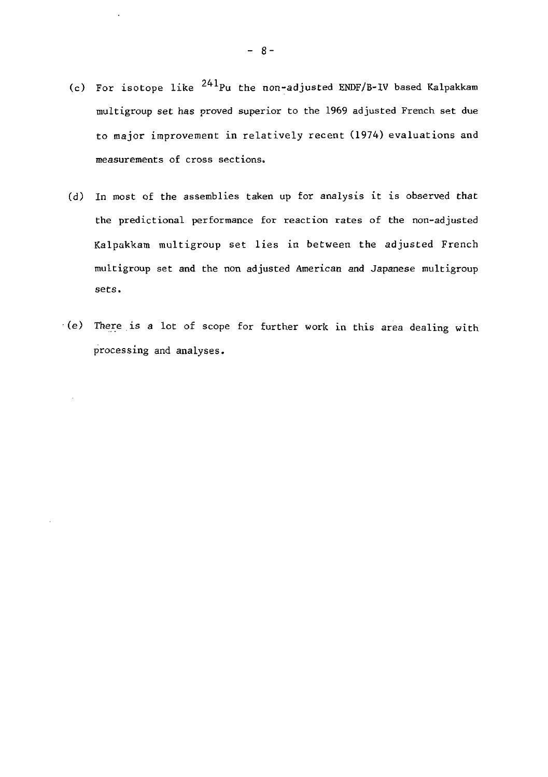- (c) For isotope like  $^{241}$ Pu the non-adjusted ENDF/B-IV based Kalpakkam multigroup set has proved superior to the 1969 adjusted French set due to major improvement in relatively recent (1974) evaluations and measurements of cross sections.
- (d) In most of the assemblies taken up for analysis it is observed that the predictional performance for reaction rates of the non-adjusted Kalpakkam multigroup set lies in between the adjusted French multigroup set and the non adjusted American and Japanese multigroup sets.
- (e) There is a lot of scope for further work in this area dealing with processing and analyses.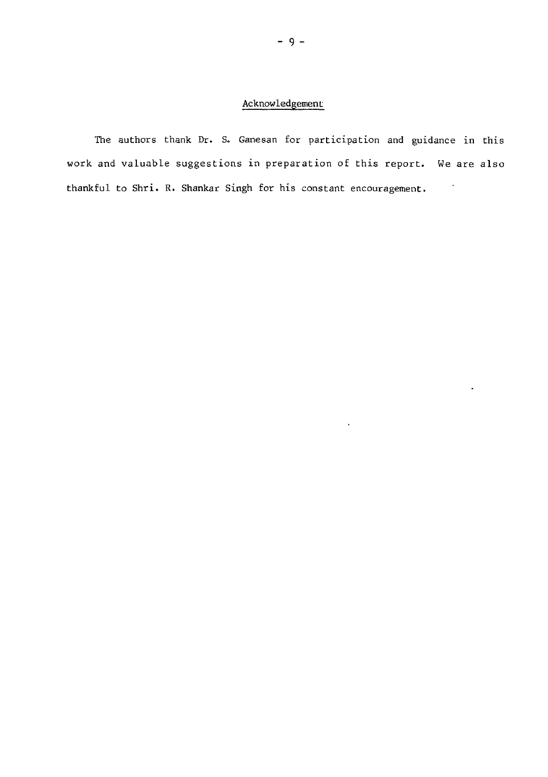#### Acknowledgement

The authors thank Dr. S. Ganesan for participation and guidance in this work and valuable suggestions in preparation of this report. We are also thankful to Shri. R. Shankar Singh for his constant encouragement. $\sim$ 

 $\bullet$ 

 $\ddot{\phantom{0}}$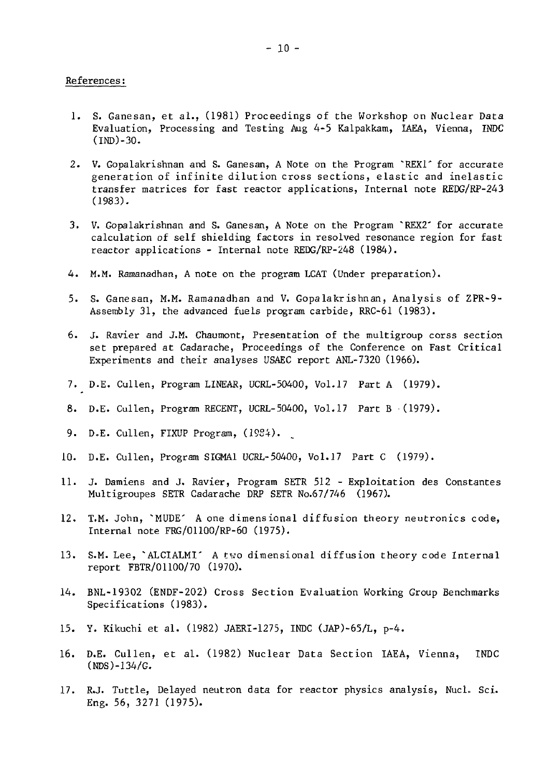#### References:

- 1. S. Ganesan, et al., (1981) Proceedings of the Workshop on Nuclear Data Evaluation, Processing and Testing Aug 4-5 Kalpakkam, IAEA, Vienna, INDC (IND)-3O.
- 2. V. Gopalakrishnan and S. Ganesan, A Note on the Program ~REX1' for accurate generation of infinite dilution cross sections, elastic and inelastic transfer matrices for fast reactor applications, Internal note REDG/RP-243 (1983).
- 3. V. Gopalakrishnan and S. Ganesan, A Note on the Program "REX2" for accurate calculation of self shielding factors in resolved resonance region for fast reactor applications - Internal note REDG/RP-248 (1984).
- 4. M.M. Ramanadhan, A note on the program LCAT (Under preparation).
- 5. S. Ganesan, M.M. Ramanadhan and V. Gopalakrishnan, Analysis of ZPR-9- Assembly 31, the advanced fuels program carbide, RRC-61 (1983).
- 6. J. Ravier and J.M. Chaumont, Presentation of the multigroup corss section set prepared at Cadarache, Proceedings of the Conference on Fast Critical Experiments and their analyses USAEC report ANL-7320 (1966).
- 7. D.E. Cullen, Program LINEAR, UCRL-50400, Vol.17 Part A (1979).
- 8. D.E. Cullen, Program RECENT, UCRL-50400, Vol.17 Part B (1979).
- 9. D.E. Cullen, FIXUP Program, (1984).
- 10. D.E. Cullen, Program SIGMA1 UCRL-50400, Vol.17 Part C (1979).
- 11. J. Damiens and J. Ravier, Program SETR 512 Exploitation des Constantes Multigroupes SETR Cadarache DRP SETR No.67/746 (1967).
- 12. T.M. John, ~MUDE' A one dimensional diffusion theory neutronics code, Internal note FRG/01100/RP-60 (1975).
- 13. S.M. Lee, ~ALCIALMI' A two dimensional diffusion theory code Internal report FBTR/01100/70 (1970).
- 14. BNL-19302 (ENDF-202) Cross Section Evaluation Working Group Benchmarks Specifications (1983).
- 15. Y. Kikuchi et al. (1982) JAERI-1275, INDC (JAP)-65/L, p-4.
- 16. D.E. Cullen, et al. (1982) Nuclear Data Section IAEA, Vienna, INDC (NDS)-134/G.
- 17. R.J. Tuttle, Delayed neutron data for reactor physics analysis, Nucl. Sci. Eng. 56, 3271 (1975).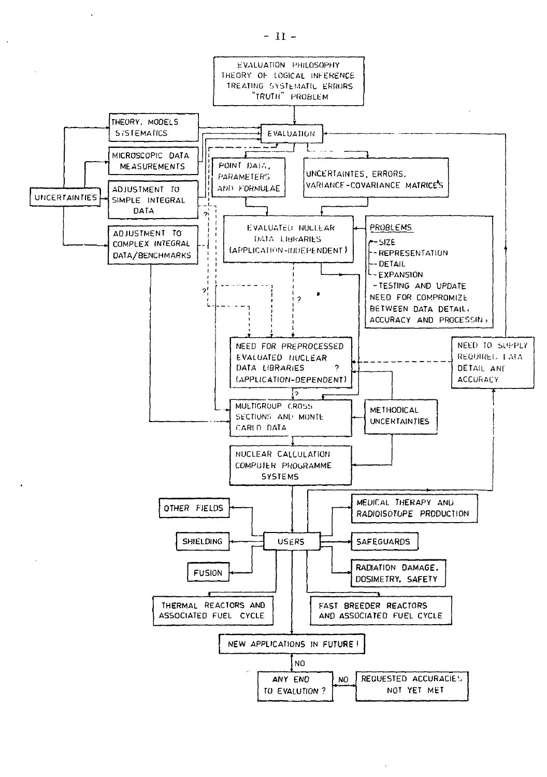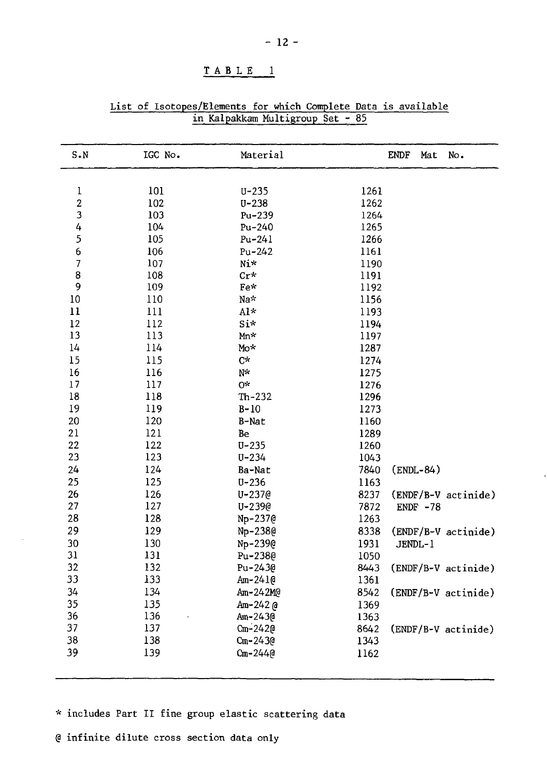| $S-N$                    | IGC No. | Material    |      | ENDF    | Mat         | No.                 |
|--------------------------|---------|-------------|------|---------|-------------|---------------------|
| ı                        | 101     | $U - 235$   | 1261 |         |             |                     |
| $\overline{\mathbf{c}}$  | 102     | $U - 238$   | 1262 |         |             |                     |
| 3                        | 103     | Pu-239      | 1264 |         |             |                     |
| 4                        | 104     | $Pu-240$    | 1265 |         |             |                     |
| 5                        | 105     | $Pu-241$    | 1266 |         |             |                     |
| 6                        | 106     | $Pu-242$    | 1161 |         |             |                     |
| $\overline{\phantom{a}}$ | 107     | $N_1$ *     | 1190 |         |             |                     |
| 8                        | 108     | $Cr*$       | 1191 |         |             |                     |
| 9                        | 109     | $Fe*$       | 1192 |         |             |                     |
| 10                       | 110     | Na*         | 1156 |         |             |                     |
| 11                       | 111     | Al*         | 1193 |         |             |                     |
| 12                       | 112     | Si*         | 1194 |         |             |                     |
| 13                       | 113     | Mn*         | 1197 |         |             |                     |
| 14                       | 114     | Mo*         | 1287 |         |             |                     |
| 15                       | 115     | С*          | 1274 |         |             |                     |
| 16                       | 116     | N*          | 1275 |         |             |                     |
| 17                       | 117     | 0*          | 1276 |         |             |                     |
| 18                       | 118     | $Th-232$    | 1296 |         |             |                     |
| 19                       | 119     | $B-10$      | 1273 |         |             |                     |
| 20                       | 120     | B-Nat       | 1160 |         |             |                     |
| 21                       | 121     | Be          | 1289 |         |             |                     |
| 22                       | 122     | $U - 235$   | 1260 |         |             |                     |
| 23                       | 123     | $U - 234$   | 1043 |         |             |                     |
| 24                       | 124     | Ba-Nat      | 7840 |         | $(ENDL-84)$ |                     |
| 25                       | 125     | $U - 236$   | 1163 |         |             |                     |
| 26                       | 126     | $U - 2370$  | 8237 |         |             | (ENDF/B-V actinide) |
| 27                       | 127     | U-239@      | 7872 |         | ENDF $-78$  |                     |
| 28                       | 128     | Np-237@     | 1263 |         |             |                     |
| 29                       | 129     | Np-238@     | 8338 |         |             | (ENDF/B-V actinide) |
| 30                       | 130     | Np-239@     | 1931 | JENDL-1 |             |                     |
| 31                       | 131     | Pu-2380     | 1050 |         |             |                     |
| 32                       | 132     | Pu-2430     | 8443 |         |             | (ENDF/B-V actinide) |
| 33                       | 133     | Am-241@     | 1361 |         |             |                     |
| 34                       | 134     | Am-242M@    | 8542 |         |             | (ENDF/B-V actinide) |
| 35                       | 135     | Am-242 @    | 1369 |         |             |                     |
| 36                       | 136     | Am-243@     | 1363 |         |             |                     |
| 37                       | 137     | $Cm - 2420$ | 8642 |         |             | (ENDF/B-V actinide) |
| 38                       | 138     | $Cm - 2430$ | 1343 |         |             |                     |
| 39                       | 139     | Cm-244@     | 1162 |         |             |                     |

List of Isotopes/Elements for which Complete Data is available in Kalpakkam Multigroup Set - 85

\* includes Part II fine group elastic scattering data

@ infinite dilute cross section data only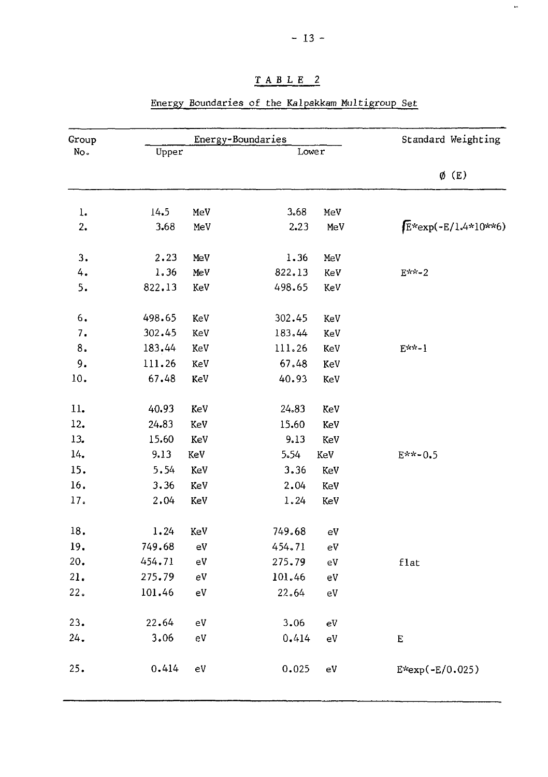| Group |        |                        | Energy-Boundaries |              | Standard Weighting    |
|-------|--------|------------------------|-------------------|--------------|-----------------------|
| No.   | Upper  |                        | Lower             |              |                       |
|       |        |                        |                   |              | $\phi$ (E)            |
| $1.$  | 14.5   | MeV                    | 3.68              | MeV          |                       |
| 2.    | 3.68   | MeV                    | 2.23              | MeV          | $E*exp(-E/1.4*10**6)$ |
| 3.    | 2.23   | MeV                    | 1.36              | MeV          |                       |
| 4.    | 1.36   | MeV                    | 822.13            | KeV          | $E^{***-2}$           |
| 5.    | 822.13 | KeV                    | 498.65            | KeV          |                       |
| 6.    | 498.65 | KeV                    | 302.45            | KeV          |                       |
| 7.    | 302.45 | KeV                    | 183.44            | KeV          |                       |
| 8.    | 183.44 | KeV                    | 111.26            | KeV          | E**-1                 |
| 9.    | 111.26 | KeV                    | 67.48             | KeV          |                       |
| 10.   | 67.48  | KeV                    | 40.93             | KeV          |                       |
| 11.   | 40.93  | KeV                    | 24.83             | KeV          |                       |
| 12.   | 24.83  | KeV                    | 15.60             | KeV          |                       |
| 13.   | 15.60  | KeV                    | 9.13              | KeV          |                       |
| 14.   | 9.13   | KeV                    | 5.54              | $\mbox{KeV}$ | E**-0.5               |
| 15.   | 5.54   | KeV                    | 3.36              | KeV          |                       |
| 16.   | 3.36   | KeV                    | 2.04              | KeV          |                       |
| 17.   | 2.04   | KeV                    | 1.24              | KeV          |                       |
| 18.   | 1.24   | KeV                    | 749.68            | $\rm eV$     |                       |
| 19.   | 749.68 | ${\rm eV}$             | 454.71            | $\rm eV$     |                       |
| 20.   | 454.71 | $\mathsf{e}\mathsf{V}$ | 275.79            | $\rm{eV}$    | flat                  |
| 21.   | 275.79 | eV                     | 101.46            | $\rm eV$     |                       |
| 22.   | 101.46 | $\rm eV$               | 22.64             | $\rm eV$     |                       |
| 23.   | 22.64  | eV                     | 3.06              | $\rm{eV}$    |                       |
| 24.   | 3.06   | eV                     | 0.414             | ${\rm eV}$   | $\mathbf E$           |
| 25.   | 0.414  | $\rm eV$               | 0.025             | ${\rm eV}$   | E*exp(-E/0.025)       |

### Energy Boundaries of the Kalpakkam Multigroup Set

- 13 -

m,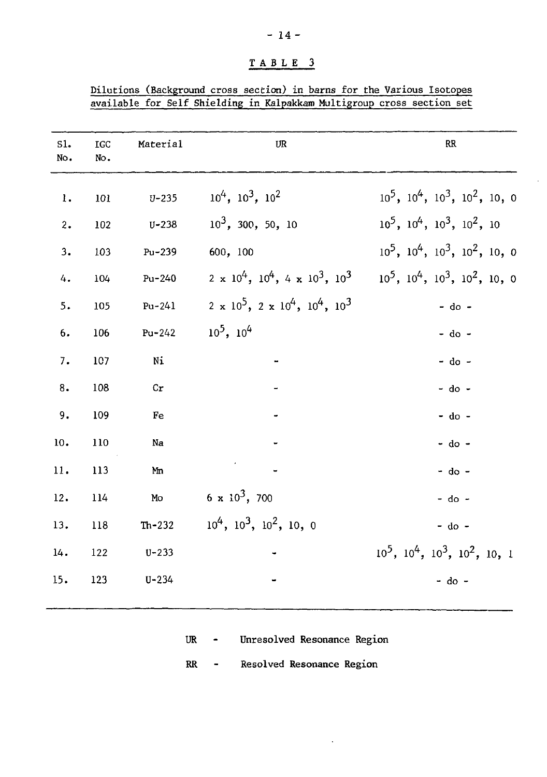| Dilutions (Background cross section) in barns for the Various Isotopes |  |  |  |  |  |  |  |
|------------------------------------------------------------------------|--|--|--|--|--|--|--|
| available for Self Shielding in Kalpakkam Multigroup cross section set |  |  |  |  |  |  |  |

 $\bar{z}$ 

| S1.<br>No.     | IGC<br>No. | Material   | UR                                                  | <b>RR</b>                                    |
|----------------|------------|------------|-----------------------------------------------------|----------------------------------------------|
| $\mathbf{l}$ . | 101        | $U - 235$  | $10^4$ , $10^3$ , $10^2$                            | $10^5$ , $10^4$ , $10^3$ , $10^2$ , 10, 0    |
| 2.             | 102        | $U - 238$  | $10^3$ , 300, 50, 10                                | $10^5$ , $10^4$ , $10^3$ , $10^2$ , 10       |
| 3.             | 103        | Pu-239     | 600, 100                                            | $10^5$ , $10^4$ , $10^3$ , $10^2$ , $10$ , 0 |
| 4.             | 104        | Pu-240     | $2 \times 10^4$ , $10^4$ , $4 \times 10^3$ , $10^3$ | $10^5$ , $10^4$ , $10^3$ , $10^2$ , $10$ , 0 |
| 5.             | 105        | $Pu-241$   | $2 \times 10^5$ , $2 \times 10^4$ , $10^4$ , $10^3$ | $-$ do $-$                                   |
| 6.             | 106        | $Pu - 242$ | $10^5$ , $10^4$                                     | - do -                                       |
| 7.             | 107        | Ni         |                                                     | $-$ do $-$                                   |
| 8.             | 108        | cr         |                                                     | $-$ do $-$                                   |
| 9.             | 109        | Fe         |                                                     | $-$ do $-$                                   |
| 10.            | 110        | Na         |                                                     | $-$ do $-$                                   |
| 11.            | 113        | Mm         |                                                     | $-$ do $-$                                   |
| 12.            | 114        | Mo         | $6 \times 10^3$ , 700                               | $-$ do $-$                                   |
| 13.            | 118        | $Th-232$   | $10^4$ , $10^3$ , $10^2$ , 10, 0                    | $-$ do $-$                                   |
| 14.            | 122        | $U - 233$  |                                                     | $10^5$ , $10^4$ , $10^3$ , $10^2$ , $10$ , 1 |
| 15.            | 123        | $U - 234$  |                                                     | $-$ do $-$                                   |
|                |            |            |                                                     |                                              |

UR - Unresolved Resonance Region

RR - Resolved Resonance Region

 $\ddot{\phantom{0}}$ 

# - 14 -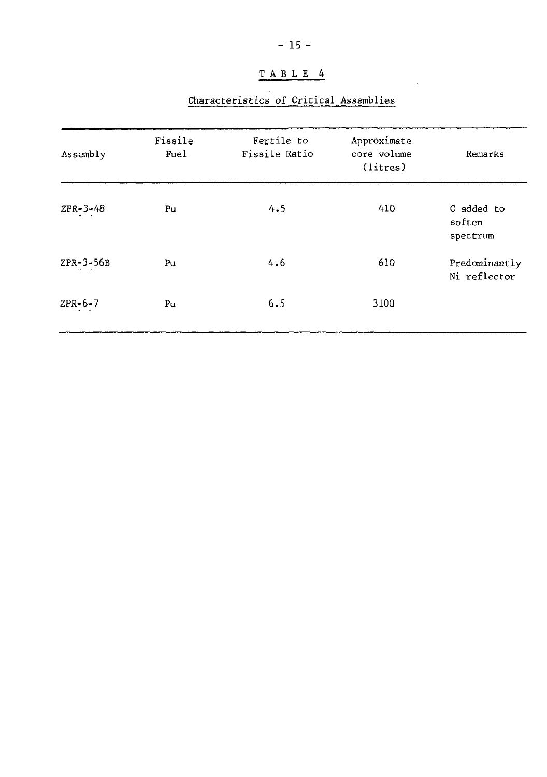# Characteristics of Critical Assemblies

| Assembly       | Fissile<br>Fue1 | Fertile to<br>Fissile Ratio | Approximate<br>core volume<br>(litres) | Remarks                          |
|----------------|-----------------|-----------------------------|----------------------------------------|----------------------------------|
| $ZPR - 3 - 48$ | Pu              | 4.5                         | 410                                    | C added to<br>soften<br>spectrum |
| ZPR-3-56B      | Pu              | 4.6                         | 610                                    | Predominantly<br>Ni reflector    |
| $ZPR-6-7$      | Pu              | 6.5                         | 3100                                   |                                  |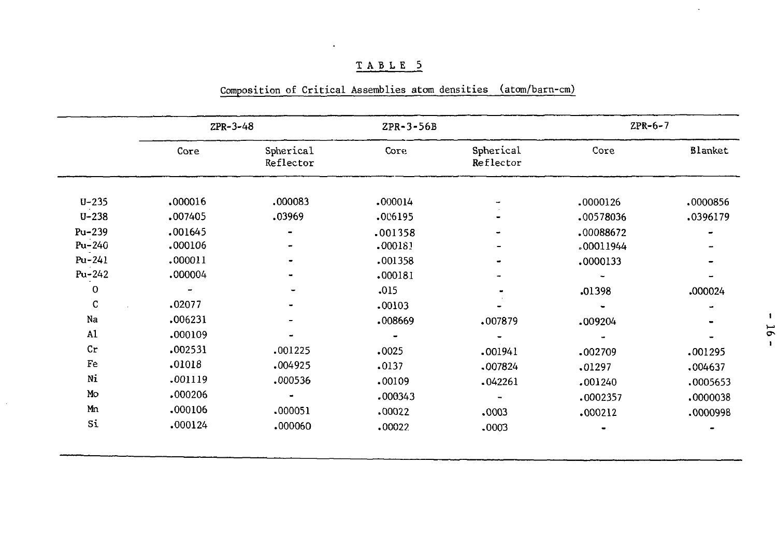#### ZPR-6-7 ZPR-3-48 ZPR-3-56B Core Spherical Core Spherical Core Blanket Reflector Reflector U-235 .000016 .000083 .000014 .0000126 .0000856 U-238 .007405 .03969 .006195 .00578036 .0396179 - Pu-239 .001645 .001358 .00088672 - - - Pu-240 .000106 .000183 .00011944 - - - Pu-241 .000011 .001358 .0000133 - - Pu-242 .000004 .000181 - - - - 0 .015 - - - .01398 .000024 C .02077 .00103 - - ÷. - .006231 Na .008669 .007879 - .009204 u. Al .000109 -  $\overline{\phantom{a}}$ . u, \_ Cr .002531 .001225 .0025 .001941 .002709 .001295 Fe .01018 .004925 .0137 .007824 .01297 .004637 Ni .001119 .000536 .00109 .042261 .001240 .0005653 Mo .000206 - .000343 .0002357 .0000038 - Mn .000106 .000051 .00022 .0003 .000212 .0000998Si .000124 .000060 .00022 .0003 ™

#### Composition of Critical Assemblies atom densities (atom/barn-cm)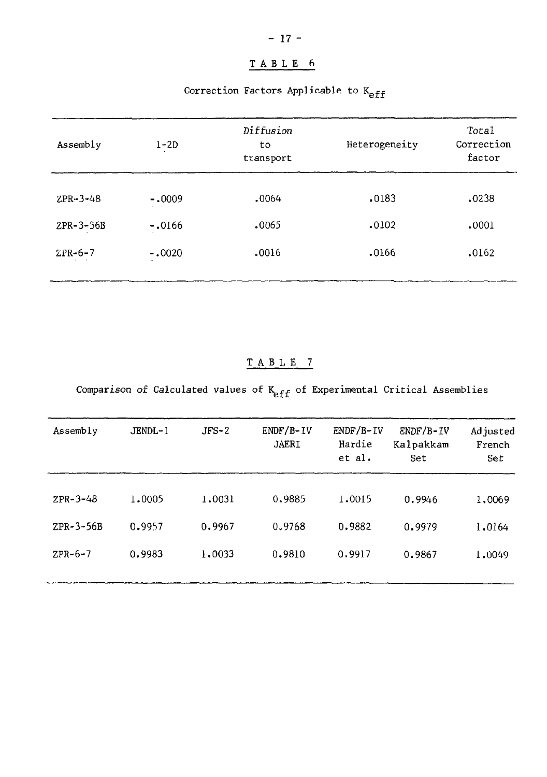# Correction Factors Applicable to K<sub>eff</sub>

| Assembly       | Diffusion<br>$1-2D$<br>to<br>transport |       | Heterogeneity | Total<br>Correction<br>factor |
|----------------|----------------------------------------|-------|---------------|-------------------------------|
| $ZPR - 3 - 48$ | $-.0009$                               | .0064 | .0183         | .0238                         |
| ZPR-3-56B      | $-.0166$                               | .0065 | .0102         | .0001                         |
| $ZPR-6-7$      | $-.0020$                               | .0016 | .0166         | .0162                         |
|                |                                        |       |               |                               |

# TABL E 7

Comparison of Calculated values of  $K_{eff}$  of Experimental Critical Assemblies

| Assembly       | JENDL-1 | $JFS-2$ | $ENDF/B-IV$<br><b>JAERI</b> | $ENDF/B-IV$<br>Hardie<br>et al. | $ENDF/B-IV$<br>Kalpakkam<br>Set | Ad justed<br>French<br>Set |
|----------------|---------|---------|-----------------------------|---------------------------------|---------------------------------|----------------------------|
| $ZPR - 3 - 48$ | 1,0005  | 1,0031  | 0.9885                      | 1.0015                          | 0.9946                          | 1,0069                     |
| $ZPR-3-56B$    | 0.9957  | 0.9967  | 0.9768                      | 0.9882                          | 0.9979                          | 1.0164                     |
| $ZPR-6-7$      | 0.9983  | 1,0033  | 0.9810                      | 0.9917                          | 0.9867                          | 1,0049                     |
|                |         |         |                             |                                 |                                 |                            |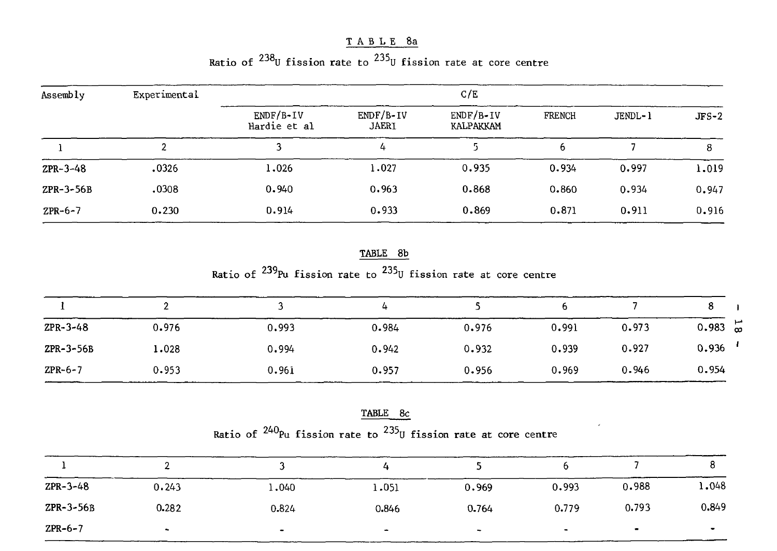TABLE 8a

| Ratio of $^{238}$ U fission rate to $^{235}$ U fission rate at core centre |
|----------------------------------------------------------------------------|
|----------------------------------------------------------------------------|

| Assembly    | Experimental |                             |                             | C/E                      |        |         |         |
|-------------|--------------|-----------------------------|-----------------------------|--------------------------|--------|---------|---------|
|             |              | $ENDF/B-IV$<br>Hardie et al | $ENDF/B-IV$<br><b>JAERI</b> | $ENDF/B-IV$<br>KALPAKKAM | FRENCH | JENDL-1 | $JFS-2$ |
|             |              |                             | 4                           |                          | 6      |         | 8       |
| $ZPR-3-48$  | .0326        | 1.026                       | 1.027                       | 0.935                    | 0.934  | 0.997   | 1.019   |
| $ZPR-3-56B$ | .0308        | 0.940                       | 0.963                       | 0.868                    | 0.860  | 0.934   | 0.947   |
| $ZPR-6-7$   | 0.230        | 0.914                       | 0.933                       | 0.869                    | 0.871  | 0.911   | 0.916   |

TABLE 8b Ratio of <sup>239</sup>Pu fission rate to <sup>235</sup>U fission rate at core centre

|                |       |       | 4     |       |       |       |                   |
|----------------|-------|-------|-------|-------|-------|-------|-------------------|
| $ZPR - 3 - 48$ | 0.976 | 0.993 | 0.984 | 0.976 | 0.991 | 0.973 | $0.983 \text{ m}$ |
| $ZPR-3-56B$    | 1.028 | 0.994 | 0.942 | 0.932 | 0.939 | 0.927 | 0.936             |
| $ZPR-6-7$      | 0.953 | 0.961 | 0.957 | 0.956 | 0.969 | 0.946 | 0.954             |

TABLE 8c Ratio of <sup>240</sup>Pu fission rate to <sup>233</sup>U fission rate at core centre

| $ZPR-3-48$  | 0.243  | 1,040 | 1.051     | 0.969                    | 0.993     | 0.988          | 1,048 |
|-------------|--------|-------|-----------|--------------------------|-----------|----------------|-------|
| $ZPR-3-56B$ | 0.282  | 0.824 | 0.846     | 0.764                    | 0.779     | 0.793          | 0.849 |
| $ZPR-6-7$   | $\sim$ |       | $\bullet$ | $\overline{\phantom{a}}$ | $\bullet$ | $\blacksquare$ |       |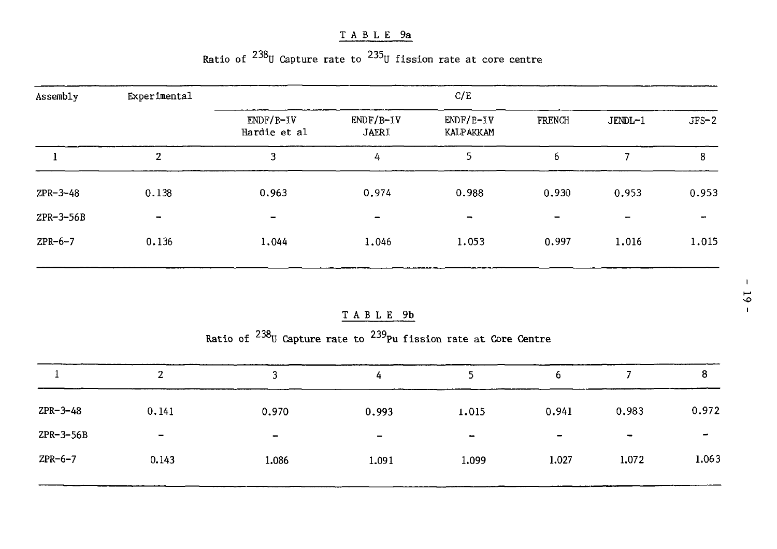# TABL E 9a

# Ratio of  $^{238}$ U Capture rate to  $^{235}$ U fission rate at core centre

| Assembly    | Experimental             |                             |                             | C/E                      |                          |         |         |
|-------------|--------------------------|-----------------------------|-----------------------------|--------------------------|--------------------------|---------|---------|
|             |                          | $ENDF/B-IV$<br>Hardie et al | $ENDF/B-IV$<br><b>JAERI</b> | $ENDF/E-IV$<br>KALPAKKAM | FRENCH                   | JENDL-1 | $JFS-2$ |
|             | 2                        | 3                           | 4                           | 5                        | 6                        |         | 8       |
| $ZPR-3-48$  | 0.138                    | 0.963                       | 0.974                       | 0.988                    | 0.930                    | 0.953   | 0.953   |
| $ZPR-3-56B$ | $\overline{\phantom{a}}$ | $\overline{\phantom{0}}$    | $\overline{\phantom{0}}$    | $\overline{\phantom{0}}$ | $\overline{\phantom{0}}$ | -       | $\sim$  |
| $ZPR-6-7$   | 0.136                    | 1,044                       | 1.046                       | 1.053                    | 0.997                    | 1.016   | 1.015   |

# TABL E 9b

Ratio of <sup>238</sup>U Capture rate to <sup>239</sup>Pu fission rate at Core Centre

|                | C.<br>∠                  | ده                           | 4                        |        | ь                        |                          | 8     |
|----------------|--------------------------|------------------------------|--------------------------|--------|--------------------------|--------------------------|-------|
| $ZPR - 3 - 48$ | 0.141                    | 0.970                        | 0.993                    | 1.015  | 0.941                    | 0.983                    | 0.972 |
| $ZPR-3-56B$    | $\overline{\phantom{a}}$ | $\qquad \qquad \blacksquare$ | $\overline{\phantom{a}}$ | $\sim$ | $\overline{\phantom{0}}$ | $\overline{\phantom{a}}$ | -     |
| $ZPR-6-7$      | 0.143                    | 1.086                        | 1.091                    | 1.099  | 1.027                    | 1.072                    | 1.063 |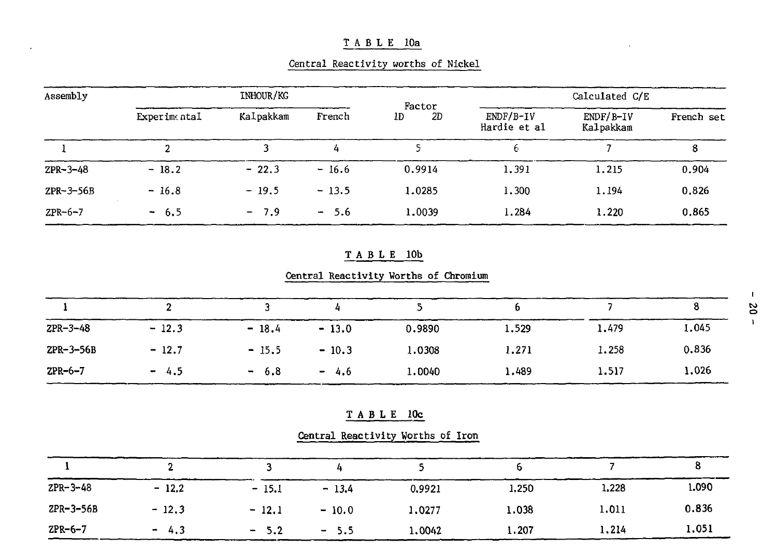# TABL E 10a

| Central Reactivity worths of Nickel |  |  |  |
|-------------------------------------|--|--|--|
|                                     |  |  |  |

| Assembly       | INHOUR/KG    |           |         |                    |                             | Calculated C/E           |            |
|----------------|--------------|-----------|---------|--------------------|-----------------------------|--------------------------|------------|
|                | Experimental | Kalpakkam | French  | Factor<br>2D<br>1D | $ENDF/B-IV$<br>Hardie et al | $ENDF/B-IV$<br>Kalpakkam | French set |
|                |              |           | 4       |                    | b                           |                          | 8          |
| $ZPR - 3 - 48$ | $-18.2$      | $-22.3$   | $-16.6$ | 0.9914             | 1.391                       | 1.215                    | 0.904      |
| $ZPR-3-56B$    | $-16.8$      | $-19.5$   | $-13.5$ | 1.0285             | 1.300                       | 1.194                    | 0.826      |
| $ZPR-6-7$      | $-6.5$       | $-7.9$    | $-5.6$  | 1,0039             | 1.284                       | 1.220                    | 0.865      |

#### T A B L E 10b

# Central Reactivity Worths of Chromium

| $ZPR-3-48$  | $-12.3$ | $-18.4$ | $-13.0$ | 0.9890 | 1.529 | 1.479 | 1.045 |
|-------------|---------|---------|---------|--------|-------|-------|-------|
| $ZPR-3-56B$ | $-12.7$ | $-15.5$ | $-10.3$ | 1.0308 | 1.271 | 1.258 | 0.836 |
| $ZPR-6-7$   | $-4.5$  | $-6.8$  | $-4.6$  | 1.0040 | 1.489 | 1.517 | 1.026 |

|  |  | u | 10c |
|--|--|---|-----|
|  |  |   |     |

Central Reactivity Worths of Iron

| $ZPR - 3 - 48$ | $-12.2$ | $-15.1$                 | $-13.4$ | 0.9921 | 1.250 | 1.228 | 1.090 |
|----------------|---------|-------------------------|---------|--------|-------|-------|-------|
| $ZPR-3-56B$    | $-12.3$ | $-12.1$                 | $-10.0$ | 1,0277 | 1.038 | 1.011 | 0.836 |
| $ZPR-6-7$      | $-4.3$  | - 5.2<br>$\blacksquare$ | $-5.5$  | 1,0042 | 1.207 | 1,214 | 1.051 |

**i o 1**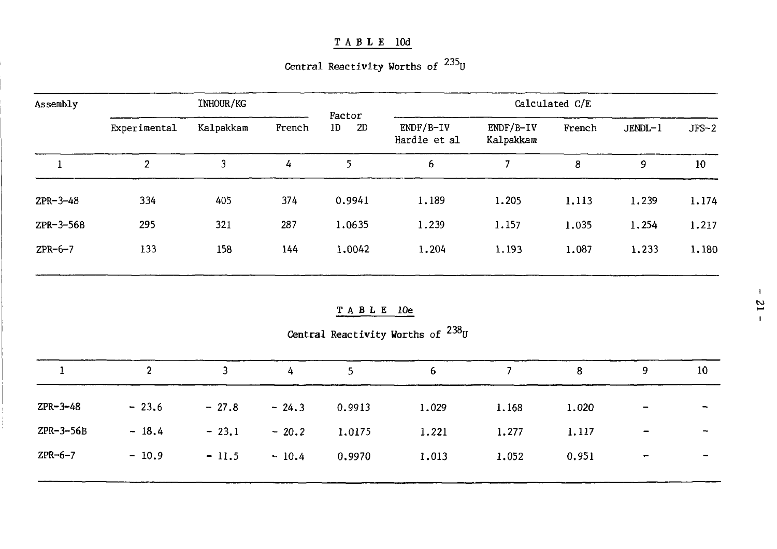## TABL E lOd

Central Reactivity Worths of <sup>235</sup>U

| Assembly       |                | INHOUR/KG    |         | Factor              |                                     |                          | Calculated C/E |         |                          |
|----------------|----------------|--------------|---------|---------------------|-------------------------------------|--------------------------|----------------|---------|--------------------------|
|                | Experimental   | Kalpakkam    | French  | $1\mathrm{D}$<br>2D | $ENDF/B-IV$<br>Hardie et al         | $ENDF/B-IV$<br>Kalpakkam | French         | JENDL-1 | $JFS-2$                  |
| -1             | $\overline{2}$ | $\mathbf{3}$ | 4       | 5                   | 6                                   | $\overline{7}$           | 8              | 9       | 10 <sup>°</sup>          |
| $ZPR-3-48$     | 334            | 405          | 374     | 0.9941              | 1.189                               | 1.205                    | 1.113          | 1.239   | 1.174                    |
| ZPR-3-56B      | 295            | 321          | 287     | 1.0635              | 1.239                               | 1.157                    | 1.035          | 1.254   | 1.217                    |
| $ZPR-6-7$      | 133            | 158          | 144     | 1.0042              | 1.204                               | 1.193                    | 1.087          | 1.233   | 1.180                    |
|                |                |              |         | TABLE 10e           |                                     |                          |                |         |                          |
|                |                |              |         |                     | Central Reactivity Worths of $238U$ |                          |                |         |                          |
| 1              | $\overline{2}$ | 3            | 4       | 5                   | 6                                   | $7\overline{ }$          | 8              | 9       | 10 <sub>1</sub>          |
| $ZPR - 3 - 48$ | $-23.6$        | $-27.8$      | $-24.3$ | 0.9913              | 1.029                               | 1.168                    | 1.020          |         |                          |
| ZPR-3-56B      | $-18.4$        | $-23.1$      | $-20.2$ | 1.0175              | 1.221                               | 1.277                    | 1.117          |         | $\overline{\phantom{a}}$ |
| $ZPR-6-7$      | $-10.9$        | $-11.5$      | $-10.4$ | 0.9970              | 1.013                               | 1.052                    | 0.951          |         |                          |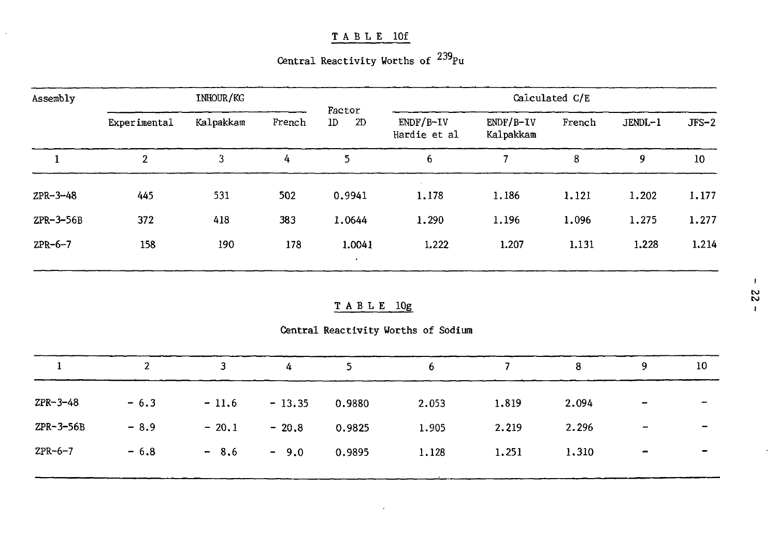# TABL E lOf

 $\overline{a}$ 

Central Reactivity Worths of <sup>239</sup>Pu

| Assembly    |              | INHOUR/KG |        |                                |                             |                          | Calculated C/E |         |         |
|-------------|--------------|-----------|--------|--------------------------------|-----------------------------|--------------------------|----------------|---------|---------|
|             | Experimental | Kalpakkam | French | Factor<br>2D<br>1D             | $ENDF/B-IV$<br>Hardie et al | $ENDF/B-IV$<br>Kalpakkam | French         | JENDL-1 | $JFS-2$ |
|             | $\mathbf{2}$ | 3         | 4      | 5                              | 6                           |                          | 8              | 9       | 10      |
| $ZPR-3-48$  | 445          | 531       | 502    | 0.9941                         | 1.178                       | 1.186                    | 1.121          | 1.202   | 1.177   |
| $ZPR-3-56B$ | 372          | 418       | 383    | 1.0644                         | 1.290                       | 1.196                    | 1.096          | 1.275   | 1.277   |
| $ZPR-6-7$   | 158          | 190       | 178    | 1.0041<br>$\ddot{\phantom{1}}$ | 1.222                       | 1.207                    | 1.131          | 1.228   | 1.214   |

#### TABL E 10g

Central Reactivity Worths of Sodium

|                | $\mathbf{2}$ | 3       | 4        | 5      | 6     |       | 8     | 9                        | 10             |
|----------------|--------------|---------|----------|--------|-------|-------|-------|--------------------------|----------------|
| $ZPR - 3 - 48$ | $-6.3$       | $-11.6$ | $-13.35$ | 0.9880 | 2.053 | 1.819 | 2.094 | $\overline{\phantom{a}}$ |                |
| $ZPR-3-56B$    | $-8.9$       | $-20.1$ | $-20.8$  | 0.9825 | 1.905 | 2.219 | 2.296 | $\overline{\phantom{a}}$ |                |
| $ZPR-6-7$      | $-6.8$       | $-8.6$  | $-9.0$   | 0.9895 | 1.128 | 1.251 | 1,310 | $\bullet$                | $\blacksquare$ |
|                |              |         |          |        |       |       |       |                          |                |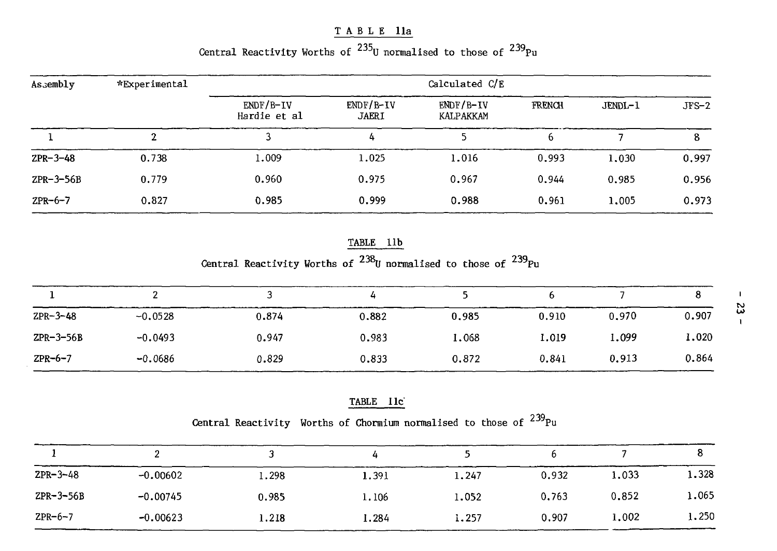### TABL E lla

# Central Reactivity Worths of  $^{235}$ U normalised to those of  $^{239}\rm{Pr}$

| Assembly    | *Experimental |                             |                             | Calculated C/E         |        |         |         |
|-------------|---------------|-----------------------------|-----------------------------|------------------------|--------|---------|---------|
|             |               | $ENDF/B-IV$<br>Hardie et al | $ENDF/B-IV$<br><b>JAERI</b> | ENDF/B-IV<br>KALPAKKAM | FRENCH | JENDL-1 | $JFS-2$ |
|             |               |                             | 4                           |                        |        |         |         |
| $ZPR-3-48$  | 0.738         | 1.009                       | 1.025                       | 1.016                  | 0.993  | 1,030   | 0.997   |
| $ZPR-3-56B$ | 0.779         | 0.960                       | 0.975                       | 0.967                  | 0.944  | 0.985   | 0.956   |
| $ZPR-6-7$   | 0.827         | 0.985                       | 0.999                       | 0.988                  | 0.961  | 1.005   | 0.973   |

# TABLE 11b

Central Reactivity Worths of <sup>200</sup>U normalised to those of <sup>239</sup>Pu

| л.             |           |       |       |       |       |       | о     |
|----------------|-----------|-------|-------|-------|-------|-------|-------|
| $ZPR - 3 - 48$ | $-0.0528$ | 0.874 | 0.882 | 0.985 | 0.910 | 0.970 | 0.907 |
| $ZPR-3-56B$    | $-0.0493$ | 0.947 | 0.983 | 1.068 | 1.019 | 1.099 | 1,020 |
| $ZPR-6-7$      | $-0.0686$ | 0.829 | 0.833 | 0.872 | 0.841 | 0.913 | 0.864 |

#### TABLE lie

Central Reactivity Worths of Chormium normalised to those of  $^{239}\rm{Pu}$ 

| $ZPR-3-48$  | $-0.00602$ | 1.298 | 1.391 | 1.247 | 0.932 | 1.033 | 1.328 |
|-------------|------------|-------|-------|-------|-------|-------|-------|
| $ZPR-3-56B$ | $-0.00745$ | 0.985 | 1.106 | 1.052 | 0.763 | 0.852 | 1.065 |
| $ZPR-6-7$   | $-0.00623$ | 1.218 | 1.284 | 1.257 | 0.907 | 1.002 | 1.250 |

 $\mathbf{L}$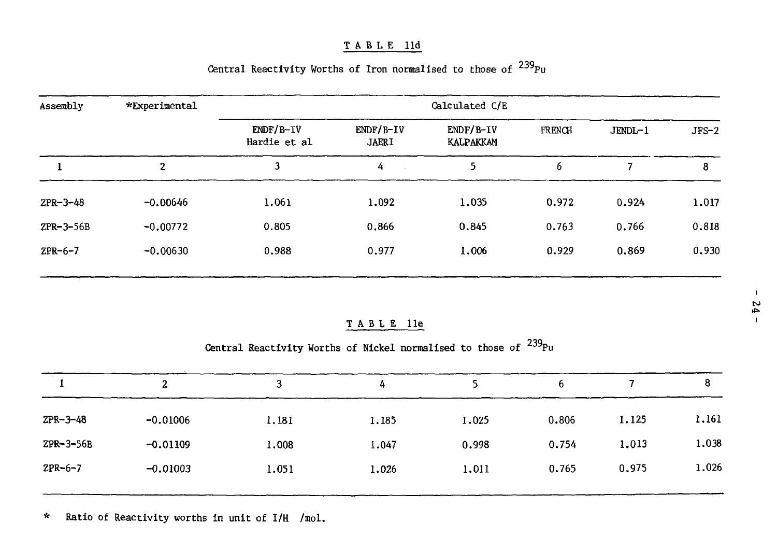#### TABLE 11d

| Assembly    | *Experimental  | Calculated C/E              |                             |                          |        |           |         |  |
|-------------|----------------|-----------------------------|-----------------------------|--------------------------|--------|-----------|---------|--|
|             |                | $ENDF/B-IV$<br>Hardie et al | $ENDF/B-IV$<br><b>JAERI</b> | $ENDF/B-IV$<br>KALPAKKAM | FRENCH | $JENDL-1$ | $JFS-2$ |  |
|             | $\overline{2}$ | 3                           | 4                           | 5                        | 6      |           | 8       |  |
| $ZPR-3-48$  | $-0.00646$     | 1.061                       | 1.092                       | 1.035                    | 0.972  | 0.924     | 1.017   |  |
| $ZPR-3-56B$ | $-0.00772$     | 0.805                       | 0.866                       | 0.845                    | 0.763  | 0.766     | 0.818   |  |
| ZPR-6-7     | $-0.00630$     | 0.988                       | 0.977                       | 1.006                    | 0.929  | 0.869     | 0.930   |  |
|             |                |                             |                             |                          |        |           |         |  |

# Central Reactivity Worths of Iron normalised to those of  $^{239}$ Pu

### TABLE 11e

Central Reactivity Worths of Nickel normalised to those of  $^{239}P$ 

|                | 2          |       | 4     |       | 6     |       | 8     |
|----------------|------------|-------|-------|-------|-------|-------|-------|
| $ZPR - 3 - 48$ | $-0.01006$ | 1,181 | 1.185 | 1.025 | 0.806 | 1,125 | 1.161 |
| $ZPR-3-56B$    | $-0.01109$ | 1.008 | 1.047 | 0.998 | 0.754 | 1,013 | 1.038 |
| $ZPR - 6 - 7$  | $-0.01003$ | 1.051 | 1.026 | 1.011 | 0.765 | 0.975 | 1.026 |
|                |            |       |       |       |       |       |       |

\* Ratio of Reactivity worths in unit of I/H /mol.